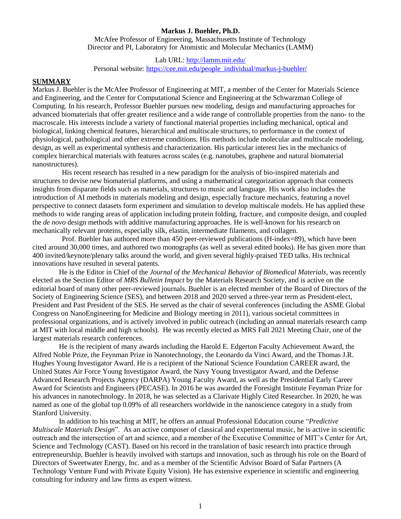#### **Markus J. Buehler, Ph.D.**

McAfee Professor of Engineering, Massachusetts Institute of Technology Director and PI, Laboratory for Atomistic and Molecular Mechanics (LAMM)

Lab URL[: http://lamm.mit.edu/](http://lamm.mit.edu/)

Personal website: [https://cee.mit.edu/people\\_individual/markus-j-buehler/](https://cee.mit.edu/people_individual/markus-j-buehler/)

## **SUMMARY**

Markus J. Buehler is the McAfee Professor of Engineering at MIT, a member of the Center for Materials Science and Engineering, and the Center for Computational Science and Engineering at the Schwarzman College of Computing. In his research, Professor Buehler pursues new modeling, design and manufacturing approaches for advanced biomaterials that offer greater resilience and a wide range of controllable properties from the nano- to the macroscale. His interests include a variety of functional material properties including mechanical, optical and biological, linking chemical features, hierarchical and multiscale structures, to performance in the context of physiological, pathological and other extreme conditions. His methods include molecular and multiscale modeling, design, as well as experimental synthesis and characterization. His particular interest lies in the mechanics of complex hierarchical materials with features across scales (e.g. nanotubes, graphene and natural biomaterial nanostructures).

His recent research has resulted in a new paradigm for the analysis of bio-inspired materials and structures to devise new biomaterial platforms, and using a mathematical categorization approach that connects insights from disparate fields such as materials, structures to music and language. His work also includes the introduction of AI methods in materials modeling and design, especially fracture mechanics, featuring a novel perspective to connect datasets form experiment and simulation to develop multiscale models. He has applied these methods to wide ranging areas of application including protein folding, fracture, and composite design, and coupled the *de novo* design methods with additive manufacturing approaches. He is well-known for his research on mechanically relevant proteins, especially silk, elastin, intermediate filaments, and collagen.

Prof. Buehler has authored more than 450 peer-reviewed publications (H-index=89), which have been cited around 30,000 times, and authored two monographs (as well as several edited books). He has given more than 400 invited/keynote/plenary talks around the world, and given several highly-praised TED talks. His technical innovations have resulted in several patents.

He is the Editor in Chief of the *Journal of the Mechanical Behavior of Biomedical Materials*, was recently elected as the Section Editor of *MRS Bulletin Impact* by the Materials Research Society, and is active on the editorial board of many other peer-reviewed journals. Buehler is an elected member of the Board of Directors of the Society of Engineering Science (SES), and between 2018 and 2020 served a three-year term as President-elect, President and Past President of the SES. He served as the chair of several conferences (including the ASME Global Congress on NanoEngineering for Medicine and Biology meeting in 2011), various societal committees in professional organizations, and is actively involved in public outreach (including an annual materials research camp at MIT with local middle and high schools). He was recently elected as MRS Fall 2021 Meeting Chair, one of the largest materials research conferences.

He is the recipient of many awards including the Harold E. Edgerton Faculty Achievement Award, the Alfred Noble Prize, the Feynman Prize in Nanotechnology, the Leonardo da Vinci Award, and the Thomas J.R. Hughes Young Investigator Award. He is a recipient of the National Science Foundation CAREER award, the United States Air Force Young Investigator Award, the Navy Young Investigator Award, and the Defense Advanced Research Projects Agency (DARPA) Young Faculty Award, as well as the Presidential Early Career Award for Scientists and Engineers (PECASE). In 2016 he was awarded the Foresight Institute Feynman Prize for his advances in nanotechnology. In 2018, he was selected as a Clarivate Highly Cited Researcher. In 2020, he was named as one of the global top 0.09% of all researchers worldwide in the nanoscience category in a study from Stanford University.

In addition to his teaching at MIT, he offers an annual Professional Education course "*Predictive Multiscale Materials Design*". As an active composer of classical and experimental music, he is active in scientific outreach and the intersection of art and science, and a member of the Executive Committee of MIT's Center for Art, Science and Technology (CAST). Based on his record in the translation of basic research into practice through entrepreneurship, Buehler is heavily involved with startups and innovation, such as through his role on the Board of Directors of Sweetwater Energy, Inc. and as a member of the Scientific Advisor Board of Safar Partners (A Technology Venture Fund with Private Equity Vision). He has extensive experience in scientific and engineering consulting for industry and law firms as expert witness.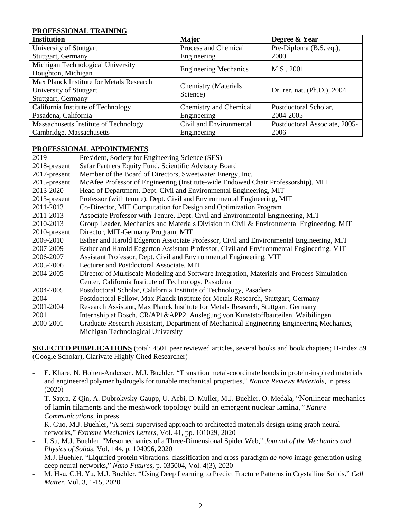#### **PROFESSIONAL TRAINING**

| <b>Institution</b>                       | <b>Major</b>                            | Degree & Year                 |
|------------------------------------------|-----------------------------------------|-------------------------------|
| University of Stuttgart                  | Process and Chemical                    | Pre-Diploma (B.S. eq.),       |
| Stuttgart, Germany                       | Engineering                             | 2000                          |
| Michigan Technological University        | <b>Engineering Mechanics</b>            | M.S., 2001                    |
| Houghton, Michigan                       |                                         |                               |
| Max Planck Institute for Metals Research | <b>Chemistry</b> (Materials<br>Science) | Dr. rer. nat. (Ph.D.), 2004   |
| University of Stuttgart                  |                                         |                               |
| Stuttgart, Germany                       |                                         |                               |
| California Institute of Technology       | Chemistry and Chemical                  | Postdoctoral Scholar,         |
| Pasadena, California                     | Engineering                             | 2004-2005                     |
| Massachusetts Institute of Technology    | Civil and Environmental                 | Postdoctoral Associate, 2005- |
| Cambridge, Massachusetts                 | Engineering                             | 2006                          |

# **PROFESSIONAL APPOINTMENTS**

| 2019         | President, Society for Engineering Science (SES)                                           |
|--------------|--------------------------------------------------------------------------------------------|
| 2018-present | Safar Partners Equity Fund, Scientific Advisory Board                                      |
| 2017-present | Member of the Board of Directors, Sweetwater Energy, Inc.                                  |
| 2015-present | McAfee Professor of Engineering (Institute-wide Endowed Chair Professorship), MIT          |
| 2013-2020    | Head of Department, Dept. Civil and Environmental Engineering, MIT                         |
| 2013-present | Professor (with tenure), Dept. Civil and Environmental Engineering, MIT                    |
| 2011-2013    | Co-Director, MIT Computation for Design and Optimization Program                           |
| 2011-2013    | Associate Professor with Tenure, Dept. Civil and Environmental Engineering, MIT            |
| 2010-2013    | Group Leader, Mechanics and Materials Division in Civil & Environmental Engineering, MIT   |
| 2010-present | Director, MIT-Germany Program, MIT                                                         |
| 2009-2010    | Esther and Harold Edgerton Associate Professor, Civil and Environmental Engineering, MIT   |
| 2007-2009    | Esther and Harold Edgerton Assistant Professor, Civil and Environmental Engineering, MIT   |
| 2006-2007    | Assistant Professor, Dept. Civil and Environmental Engineering, MIT                        |
| 2005-2006    | Lecturer and Postdoctoral Associate, MIT                                                   |
| 2004-2005    | Director of Multiscale Modeling and Software Integration, Materials and Process Simulation |
|              | Center, California Institute of Technology, Pasadena                                       |
| 2004-2005    | Postdoctoral Scholar, California Institute of Technology, Pasadena                         |
| 2004         | Postdoctoral Fellow, Max Planck Institute for Metals Research, Stuttgart, Germany          |
| 2001-2004    | Research Assistant, Max Planck Institute for Metals Research, Stuttgart, Germany           |
| 2001         | Internship at Bosch, CR/AP1&APP2, Auslegung von Kunststoffbauteilen, Waibilingen           |
| 2000-2001    | Graduate Research Assistant, Department of Mechanical Engineering-Engineering Mechanics,   |
|              | Michigan Technological University                                                          |

**SELECTED PUBPLICATIONS** (total: 450+ peer reviewed articles, several books and book chapters; H-index 89 (Google Scholar), Clarivate Highly Cited Researcher)

- E. Khare, N. Holten-Andersen, M.J. Buehler, "Transition metal-coordinate bonds in protein-inspired materials and engineered polymer hydrogels for tunable mechanical properties," *Nature Reviews Materials*, in press (2020)
- T. Sapra, Z Qin, A. Dubrokvsky-Gaupp, U. Aebi, D. Muller, M.J. Buehler, O. Medala, "Nonlinear mechanics of lamin filaments and the meshwork topology build an emergent nuclear lamina*," Nature Communications*, in press
- K. Guo, M.J. Buehler, "A semi-supervised approach to architected materials design using graph neural networks," *Extreme Mechanics Letters*, Vol. 41, pp. 101029, 2020
- I. Su, M.J. Buehler, "Mesomechanics of a Three-Dimensional Spider Web," *Journal of the Mechanics and Physics of Solids*, Vol. 144, p. 104096, 2020
- M.J. Buehler, "Liquified protein vibrations, classification and cross-paradigm *de novo* image generation using deep neural networks," *Nano Futures*, p. 035004, Vol. 4(3), 2020
- M. Hsu, C.H. Yu, M.J. Buehler, "Using Deep Learning to Predict Fracture Patterns in Crystalline Solids," *Cell Matter*, Vol. 3, 1-15, 2020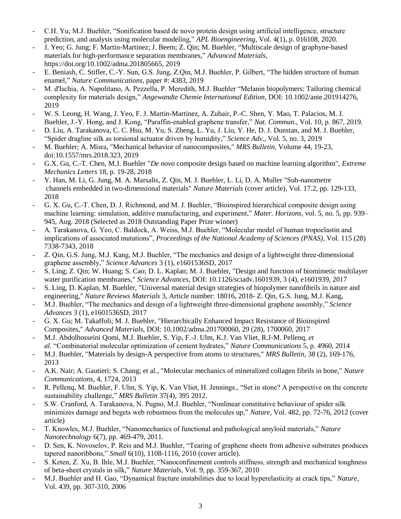- C.H. Yu; M.J. Buehler, "Sonification based de novo protein design using artificial intelligence, structure prediction, and analysis using molecular modeling," *APL Bioengineering*, Vol. 4(1), p. 016108, 2020.
- J. Yeo; G. Jung; F. Martin-Martinez; J. Beem; Z. Qin; M. Buehler, "Multiscale design of graphyne-based materials for high-performance separation membranes," *Advanced Materials*, https://doi.org/10.1002/adma.201805665, 2019
- E. Beniash, C. Stifler, C.-Y. Sun, G.S. Jung, Z.Qin, M.J. Buehler, P. Gilbert, "The hidden structure of human enamel," *Nature Communications*, paper #: 4383, 2019
- M. d'Ischia, A. Napolitano, A. Pezzella, P. Meredith, M.J. Buehler "Melanin biopolymers: Tailoring chemical complexity for materials design," *Angewandte Chemie International Edition*, DOI: 10.1002/anie.201914276, 2019
- W. S. Leong, H. Wang, J. Yeo, F. J. Martin-Martinez, A. Zubair, P.-C. Shen, Y. Mao, T. Palacios, M. J. Buehler, J.-Y. Hong, and J. Kong, "Paraffin-enabled graphene transfer," *Nat. Commun*., Vol. 10, p. 867, 2019.
- D. Liu, A. Tarakanova, C. C. Hsu, M. Yu, S. Zheng, L. Yu, J. Liu, Y. He, D. J. Dunstan, and M. J. Buehler, "Spider dragline silk as torsional actuator driven by humidity," *Science Adv*., Vol. 5, no. 3, 2019
- M. Buehler; A. Misra, "Mechanical behavior of nanocomposites," *MRS Bulletin*, Volume 44, 19-23, doi:10.1557/mrs.2018.323, 2019
- G.X. Gu, C.-T. Chen, M.J. Buehler "*De novo* composite design based on machine learning algorithm", *Extreme Mechanics Letters* 18, p. 19-28, 2018
- Y. Han, M. Li, G. Jung, M. A. Marsalis, Z. Qin, M. J. Buehler, L. Li, D. A. Muller "Sub-nanometre channels embedded in two-dimensional materials" *Nature Materials* (cover article), Vol. 17.2, pp. 129-133, 2018
- G. X. Gu, C.-T. Chen, D. J. Richmond, and M. J. Buehler, "Bioinspired hierarchical composite design using machine learning: simulation, additive manufacturing, and experiment," *Mater. Horizons*, vol. 5, no. 5, pp. 939– 945, Aug. 2018 (Selected as 2018 Outstanding Paper Prize winner)
- A. Tarakanova, G. Yeo, C. Baldock, A. Weiss, M.J. Buehler, "Molecular model of human tropoelastin and implications of associated mutations", *Proceedings of the National Academy of Sciences (PNAS)*, Vol. 115 (28) 7338-7343, 2018
- Z. Qin, G.S. Jung, M.J. Kang, M.J. Buehler, "The mechanics and design of a lightweight three-dimensional graphene assembly," *Science Advances* 3 (1), e1601536SD, 2017
- S. Ling; Z. Qin; W. Huang; S. Cao; D. L. Kaplan; M. J. Buehler, "Design and function of biomimetic multilayer water purification membranes," *Science Advances*, DOI: 10.1126/sciadv.1601939, 3 (4), e1601939, 2017
- S. Ling, D. Kaplan, M. Buehler, "Universal material design strategies of biopolymer nanofibrils in nature and engineering," *Nature Reviews Materials* 3, Article number: 18016, 2018- Z. Qin, G.S. Jung, M.J. Kang,
- M.J. Buehler, "The mechanics and design of a lightweight three-dimensional graphene assembly," *Science Advance*s 3 (1), e1601536SD, 2017
- G. X. Gu; M. Takaffoli; M. J. Buehler, "Hierarchically Enhanced Impact Resistance of Bioinspired Composites," *Advanced Materials*, DOI: 10.1002/adma.201700060, 29 (28), 1700060, 2017
- M.J. Abdolhosseini Qomi, M.J. Buehler, S. Yip, F.-J. Ulm, K.J. Van Vliet, R.J-M. Pellenq, *et al.* "Combinatorial molecular optimization of cement hydrates," *Nature Communications* 5, p. 4960, 2014
- M.J. Buehler, "Materials by design-A perspective from atoms to structures," *MRS Bulletin*, 38 (2), 169-176, 2013
- A.K. Nair; A. Gautieri; S. Chang; et al., "Molecular mechanics of mineralized collagen fibrils in bone," *Nature Communications*, 4, 1724, 2013
- R. Pelleng, M. Buehler, F. Ulm, S. Yip, K. Van Vliet, H. Jennings., "Set in stone? A perspective on the concrete sustainability challenge," *MRS Bulletin* 37(4), 395 2012.
- S.W. Cranford, A. Tarakanova, N. Pugno, M.J. Buehler, "Nonlinear constitutive behaviour of spider silk minimizes damage and begets web robustness from the molecules up," *Nature*, Vol. 482, pp. 72-76, 2012 (cover article)
- T. Knowles, M.J. Buehler, "Nanomechanics of functional and pathological amyloid materials," *Nature Nanotechnology* 6(7), pp. 469-479, 2011.
- D. Sen, K. Novoselov, P. Reis and M.J. Buehler, "Tearing of graphene sheets from adhesive substrates produces tapered nanoribbons," *Small* 6(10), 1108-1116, 2010 (cover article).
- S. Keten, Z. Xu, B. Ihle, M.J. Buehler, "Nanoconfinement controls stiffness, strength and mechanical toughness of beta-sheet crystals in silk," *Nature Materials*, Vol. 9, pp. 359-367, 2010
- M.J. Buehler and H. Gao, "Dynamical fracture instabilities due to local hyperelasticity at crack tips," *Nature*, Vol. 439, pp. 307-310, 2006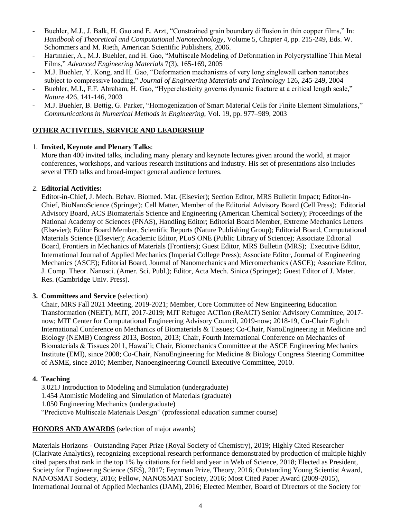- Buehler, M.J., J. Balk, H. Gao and E. Arzt, "Constrained grain boundary diffusion in thin copper films," In: *Handbook of Theoretical and Computational Nanotechnology*, Volume 5, Chapter 4, pp. 215-249, Eds. W. Schommers and M. Rieth, American Scientific Publishers, 2006.
- Hartmaier, A., M.J. Buehler, and H. Gao, "Multiscale Modeling of Deformation in Polycrystalline Thin Metal Films," *Advanced Engineering Materials* 7(3), 165-169, 2005
- M.J. Buehler, Y. Kong, and H. Gao, "Deformation mechanisms of very long singlewall carbon nanotubes subject to compressive loading," *Journal of Engineering Materials and Technology* 126, 245-249, 2004
- Buehler, M.J., F.F. Abraham, H. Gao, "Hyperelasticity governs dynamic fracture at a critical length scale," *Nature* 426, 141-146, 2003
- M.J. Buehler, B. Bettig, G. Parker, "Homogenization of Smart Material Cells for Finite Element Simulations." *Communications in Numerical Methods in Engineering*, Vol. 19, pp. 977–989, 2003

## **OTHER ACTIVITIES, SERVICE AND LEADERSHIP**

#### 1. **Invited, Keynote and Plenary Talks**:

More than 400 invited talks, including many plenary and keynote lectures given around the world, at major conferences, workshops, and various research institutions and industry. His set of presentations also includes several TED talks and broad-impact general audience lectures.

## 2. **Editorial Activities:**

Editor-in-Chief, J. Mech. Behav. Biomed. Mat. (Elsevier); Section Editor, MRS Bulletin Impact; Editor-in-Chief, BioNanoScience (Springer); Cell Matter, Member of the Editorial Advisory Board (Cell Press); Editorial Advisory Board, ACS Biomaterials Science and Engineering (American Chemical Society); Proceedings of the National Academy of Sciences (PNAS), Handling Editor; Editorial Board Member, Extreme Mechanics Letters (Elsevier); Editor Board Member, Scientific Reports (Nature Publishing Group); Editorial Board, Computational Materials Science (Elsevier); Academic Editor, PLoS ONE (Public Library of Science); Associate Editorial Board, Frontiers in Mechanics of Materials (Frontiers); Guest Editor, MRS Bulletin (MRS); Executive Editor, International Journal of Applied Mechanics (Imperial College Press); Associate Editor, Journal of Engineering Mechanics (ASCE); Editorial Board, Journal of Nanomechanics and Micromechanics (ASCE); Associate Editor, J. Comp. Theor. Nanosci. (Amer. Sci. Publ.); Editor, Acta Mech. Sinica (Springer); Guest Editor of J. Mater. Res. (Cambridge Univ. Press).

#### **3. Committees and Service** (selection)

Chair, MRS Fall 2021 Meeting, 2019-2021; Member, Core Committee of New Engineering Education Transformation (NEET), MIT, 2017-2019; MIT Refugee ACTion (ReACT) Senior Advisory Committee, 2017 now; MIT Center for Computational Engineering Advisory Council, 2019-now; 2018-19, Co-Chair Eighth International Conference on Mechanics of Biomaterials & Tissues; Co-Chair, NanoEngineering in Medicine and Biology (NEMB) Congress 2013, Boston, 2013; Chair, Fourth International Conference on Mechanics of Biomaterials & Tissues 2011, Hawai'i; Chair, Biomechanics Committee at the ASCE Engineering Mechanics Institute (EMI), since 2008; Co-Chair, NanoEngineering for Medicine & Biology Congress Steering Committee of ASME, since 2010; Member, Nanoengineering Council Executive Committee, 2010.

# **4. Teaching**

3.021J Introduction to Modeling and Simulation (undergraduate) 1.454 Atomistic Modeling and Simulation of Materials (graduate) 1.050 Engineering Mechanics (undergraduate) "Predictive Multiscale Materials Design" (professional education summer course)

# **HONORS AND AWARDS** (selection of major awards)

Materials Horizons - Outstanding Paper Prize (Royal Society of Chemistry), 2019; Highly Cited Researcher (Clarivate Analytics), recognizing exceptional research performance demonstrated by production of multiple highly cited papers that rank in the top 1% by citations for field and year in Web of Science, 2018; Elected as President, Society for Engineering Science (SES), 2017; Feynman Prize, Theory, 2016; Outstanding Young Scientist Award, NANOSMAT Society, 2016; Fellow, NANOSMAT Society, 2016; Most Cited Paper Award (2009-2015), International Journal of Applied Mechanics (IJAM), 2016; Elected Member, Board of Directors of the Society for